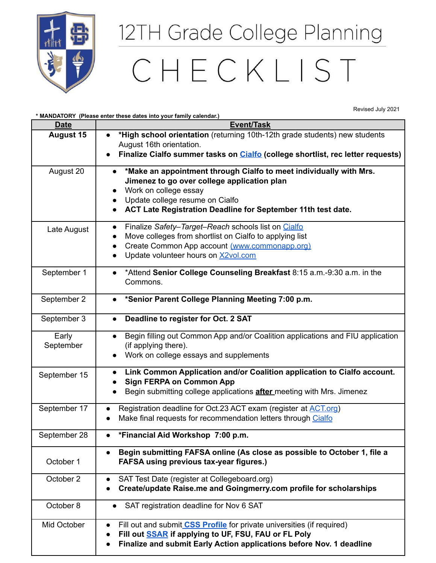

## 12TH Grade College Planning

## CHECKLIST

Revised July 2021

| <b>Date</b>        | * MANDATORY (Please enter these dates into your family calendar.)<br>Event/Task                                                                                                                                                                            |
|--------------------|------------------------------------------------------------------------------------------------------------------------------------------------------------------------------------------------------------------------------------------------------------|
| <b>August 15</b>   | *High school orientation (returning 10th-12th grade students) new students<br>August 16th orientation.<br>Finalize Cialfo summer tasks on Cialfo (college shortlist, rec letter requests)                                                                  |
| August 20          | *Make an appointment through Cialfo to meet individually with Mrs.<br>$\bullet$<br>Jimenez to go over college application plan<br>Work on college essay<br>Update college resume on Cialfo<br>ACT Late Registration Deadline for September 11th test date. |
| Late August        | Finalize Safety-Target-Reach schools list on Cialfo<br>$\bullet$<br>Move colleges from shortlist on Cialfo to applying list<br>Create Common App account (www.commonapp.org)<br>Update volunteer hours on X2vol.com                                        |
| September 1        | *Attend Senior College Counseling Breakfast 8:15 a.m.-9:30 a.m. in the<br>$\bullet$<br>Commons.                                                                                                                                                            |
| September 2        | *Senior Parent College Planning Meeting 7:00 p.m.<br>$\bullet$                                                                                                                                                                                             |
| September 3        | Deadline to register for Oct. 2 SAT                                                                                                                                                                                                                        |
| Early<br>September | Begin filling out Common App and/or Coalition applications and FIU application<br>(if applying there).<br>Work on college essays and supplements                                                                                                           |
| September 15       | Link Common Application and/or Coalition application to Cialfo account.<br><b>Sign FERPA on Common App</b><br>Begin submitting college applications after meeting with Mrs. Jimenez                                                                        |
| September 17       | Registration deadline for Oct.23 ACT exam (register at ACT.org)<br>Make final requests for recommendation letters through Cialfo                                                                                                                           |
| September 28       | *Financial Aid Workshop 7:00 p.m.                                                                                                                                                                                                                          |
| October 1          | Begin submitting FAFSA online (As close as possible to October 1, file a<br>$\bullet$<br><b>FAFSA using previous tax-year figures.)</b>                                                                                                                    |
| October 2          | SAT Test Date (register at Collegeboard.org)<br>$\bullet$<br>Create/update Raise.me and Goingmerry.com profile for scholarships                                                                                                                            |
| October 8          | SAT registration deadline for Nov 6 SAT                                                                                                                                                                                                                    |
| Mid October        | Fill out and submit CSS Profile for private universities (if required)<br>$\bullet$<br>Fill out <b>SSAR</b> if applying to UF, FSU, FAU or FL Poly<br>$\bullet$<br>Finalize and submit Early Action applications before Nov. 1 deadline                    |